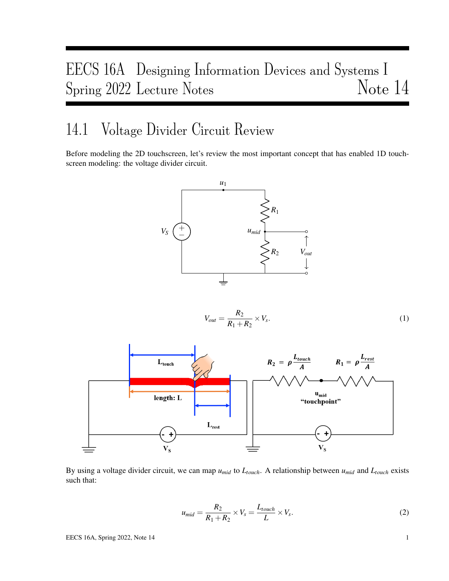# EECS 16A Designing Information Devices and Systems I Spring 2022 Lecture Notes Note 14

### 14.1 Voltage Divider Circuit Review

Before modeling the 2D touchscreen, let's review the most important concept that has enabled 1D touchscreen modeling: the voltage divider circuit.



$$
V_{out} = \frac{R_2}{R_1 + R_2} \times V_s. \tag{1}
$$



By using a voltage divider circuit, we can map  $u_{mid}$  to  $L_{touch}$ . A relationship between  $u_{mid}$  and  $L_{touch}$  exists such that:

$$
u_{mid} = \frac{R_2}{R_1 + R_2} \times V_s = \frac{L_{touch}}{L} \times V_s.
$$
 (2)

EECS 16A, Spring 2022, Note 14 1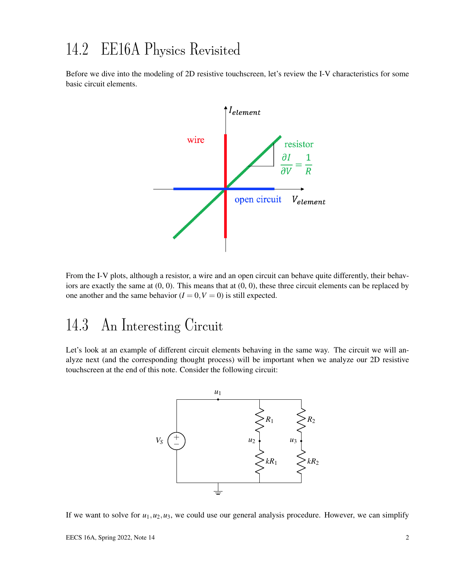## 14.2 EE16A Physics Revisited

Before we dive into the modeling of 2D resistive touchscreen, let's review the I-V characteristics for some basic circuit elements.



From the I-V plots, although a resistor, a wire and an open circuit can behave quite differently, their behaviors are exactly the same at  $(0, 0)$ . This means that at  $(0, 0)$ , these three circuit elements can be replaced by one another and the same behavior  $(I = 0, V = 0)$  is still expected.

## 14.3 An Interesting Circuit

Let's look at an example of different circuit elements behaving in the same way. The circuit we will analyze next (and the corresponding thought process) will be important when we analyze our 2D resistive touchscreen at the end of this note. Consider the following circuit:



If we want to solve for  $u_1, u_2, u_3$ , we could use our general analysis procedure. However, we can simplify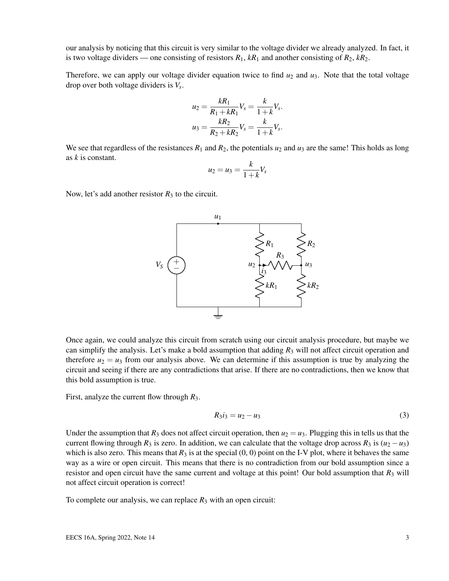our analysis by noticing that this circuit is very similar to the voltage divider we already analyzed. In fact, it is two voltage dividers — one consisting of resistors  $R_1$ ,  $kR_1$  and another consisting of  $R_2$ ,  $kR_2$ .

Therefore, we can apply our voltage divider equation twice to find  $u_2$  and  $u_3$ . Note that the total voltage drop over both voltage dividers is *V<sup>s</sup>* .

$$
u_2 = \frac{kR_1}{R_1 + kR_1} V_s = \frac{k}{1 + k} V_s.
$$
  

$$
u_3 = \frac{kR_2}{R_2 + kR_2} V_s = \frac{k}{1 + k} V_s.
$$

We see that regardless of the resistances  $R_1$  and  $R_2$ , the potentials  $u_2$  and  $u_3$  are the same! This holds as long as *k* is constant.

$$
u_2 = u_3 = \frac{k}{1+k} V_s
$$

Now, let's add another resistor  $R_3$  to the circuit.



Once again, we could analyze this circuit from scratch using our circuit analysis procedure, but maybe we can simplify the analysis. Let's make a bold assumption that adding  $R_3$  will not affect circuit operation and therefore  $u_2 = u_3$  from our analysis above. We can determine if this assumption is true by analyzing the circuit and seeing if there are any contradictions that arise. If there are no contradictions, then we know that this bold assumption is true.

First, analyze the current flow through *R*3.

$$
R_3 i_3 = u_2 - u_3 \tag{3}
$$

Under the assumption that  $R_3$  does not affect circuit operation, then  $u_2 = u_3$ . Plugging this in tells us that the current flowing through  $R_3$  is zero. In addition, we can calculate that the voltage drop across  $R_3$  is  $(u_2 - u_3)$ which is also zero. This means that  $R_3$  is at the special  $(0, 0)$  point on the I-V plot, where it behaves the same way as a wire or open circuit. This means that there is no contradiction from our bold assumption since a resistor and open circuit have the same current and voltage at this point! Our bold assumption that  $R_3$  will not affect circuit operation is correct!

To complete our analysis, we can replace  $R_3$  with an open circuit: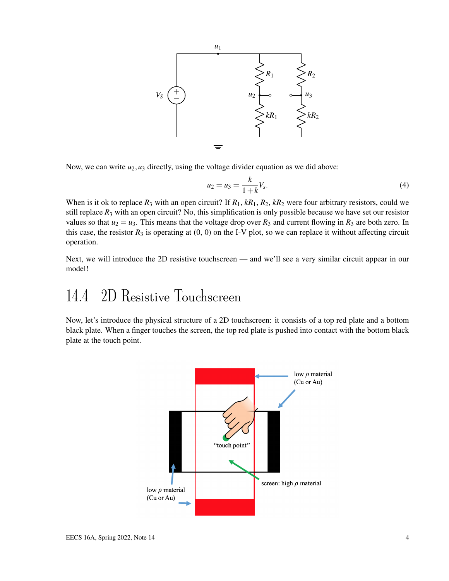

Now, we can write  $u_2, u_3$  directly, using the voltage divider equation as we did above:

$$
u_2 = u_3 = \frac{k}{1+k} V_s.
$$
 (4)

When is it ok to replace  $R_3$  with an open circuit? If  $R_1$ ,  $kR_1$ ,  $R_2$ ,  $kR_2$  were four arbitrary resistors, could we still replace  $R_3$  with an open circuit? No, this simplification is only possible because we have set our resistor values so that  $u_2 = u_3$ . This means that the voltage drop over  $R_3$  and current flowing in  $R_3$  are both zero. In this case, the resistor  $R_3$  is operating at  $(0, 0)$  on the I-V plot, so we can replace it without affecting circuit operation.

Next, we will introduce the 2D resistive touchscreen — and we'll see a very similar circuit appear in our model!

## 14.4 2D Resistive Touchscreen

Now, let's introduce the physical structure of a 2D touchscreen: it consists of a top red plate and a bottom black plate. When a finger touches the screen, the top red plate is pushed into contact with the bottom black plate at the touch point.

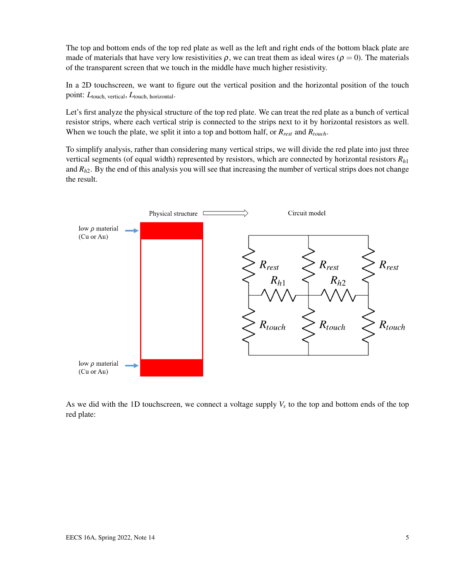The top and bottom ends of the top red plate as well as the left and right ends of the bottom black plate are made of materials that have very low resistivities  $\rho$ , we can treat them as ideal wires ( $\rho = 0$ ). The materials of the transparent screen that we touch in the middle have much higher resistivity.

In a 2D touchscreen, we want to figure out the vertical position and the horizontal position of the touch point: *L*touch, vertical, *L*touch, horizontal.

Let's first analyze the physical structure of the top red plate. We can treat the red plate as a bunch of vertical resistor strips, where each vertical strip is connected to the strips next to it by horizontal resistors as well. When we touch the plate, we split it into a top and bottom half, or *Rrest* and *Rtouch*.

To simplify analysis, rather than considering many vertical strips, we will divide the red plate into just three vertical segments (of equal width) represented by resistors, which are connected by horizontal resistors *Rh*<sup>1</sup> and  $R_{h2}$ . By the end of this analysis you will see that increasing the number of vertical strips does not change the result.



As we did with the 1D touchscreen, we connect a voltage supply  $V_s$  to the top and bottom ends of the top red plate: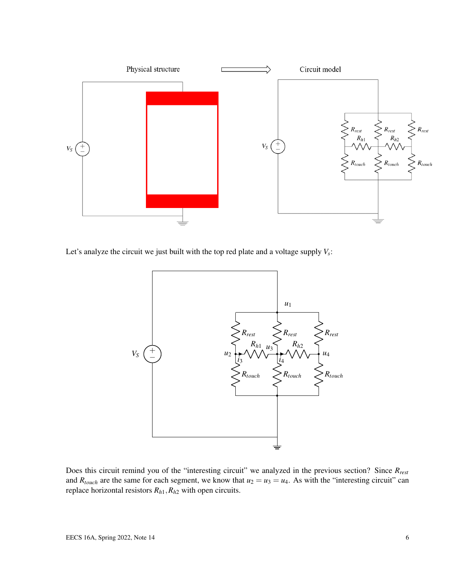

Let's analyze the circuit we just built with the top red plate and a voltage supply *V<sup>s</sup>* :



Does this circuit remind you of the "interesting circuit" we analyzed in the previous section? Since *Rrest* and  $R_{touch}$  are the same for each segment, we know that  $u_2 = u_3 = u_4$ . As with the "interesting circuit" can replace horizontal resistors *Rh*1,*Rh*<sup>2</sup> with open circuits.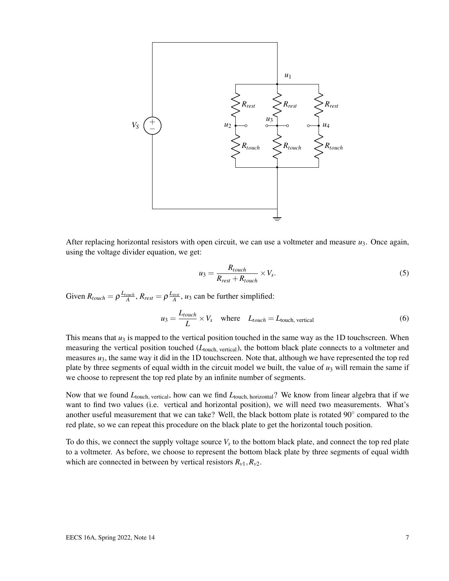

After replacing horizontal resistors with open circuit, we can use a voltmeter and measure  $u_3$ . Once again, using the voltage divider equation, we get:

$$
u_3 = \frac{R_{touch}}{R_{rest} + R_{touch}} \times V_s.
$$
 (5)

Given  $R_{touch} = \rho \frac{L_{touch}}{A}$ ,  $R_{rest} = \rho \frac{L_{rest}}{A}$ ,  $u_3$  can be further simplified:

$$
u_3 = \frac{L_{touch}}{L} \times V_s \quad \text{where} \quad L_{touch} = L_{touch, vertical} \tag{6}
$$

This means that  $u_3$  is mapped to the vertical position touched in the same way as the 1D touchscreen. When measuring the vertical position touched (*L*touch, vertical), the bottom black plate connects to a voltmeter and measures  $u_3$ , the same way it did in the 1D touchscreen. Note that, although we have represented the top red plate by three segments of equal width in the circuit model we built, the value of  $u_3$  will remain the same if we choose to represent the top red plate by an infinite number of segments.

Now that we found *L*touch, vertical, how can we find *L*touch, horizontal? We know from linear algebra that if we want to find two values (i.e. vertical and horizontal position), we will need two measurements. What's another useful measurement that we can take? Well, the black bottom plate is rotated 90° compared to the red plate, so we can repeat this procedure on the black plate to get the horizontal touch position.

To do this, we connect the supply voltage source *V<sup>s</sup>* to the bottom black plate, and connect the top red plate to a voltmeter. As before, we choose to represent the bottom black plate by three segments of equal width which are connected in between by vertical resistors  $R_{v1}$ ,  $R_{v2}$ .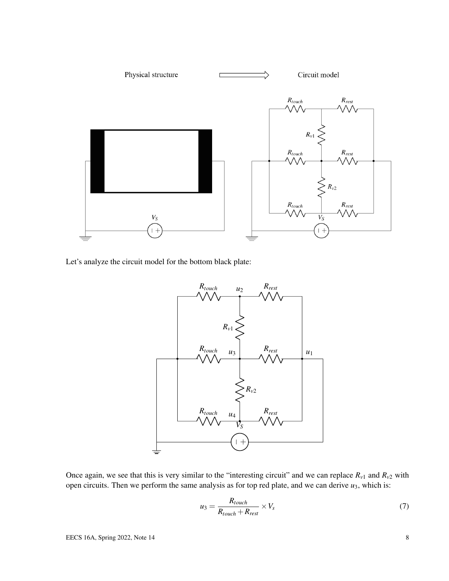

Let's analyze the circuit model for the bottom black plate:



Once again, we see that this is very similar to the "interesting circuit" and we can replace  $R_{v1}$  and  $R_{v2}$  with open circuits. Then we perform the same analysis as for top red plate, and we can derive *u*3, which is:

$$
u_3 = \frac{R_{touch}}{R_{touch} + R_{rest}} \times V_s
$$
 (7)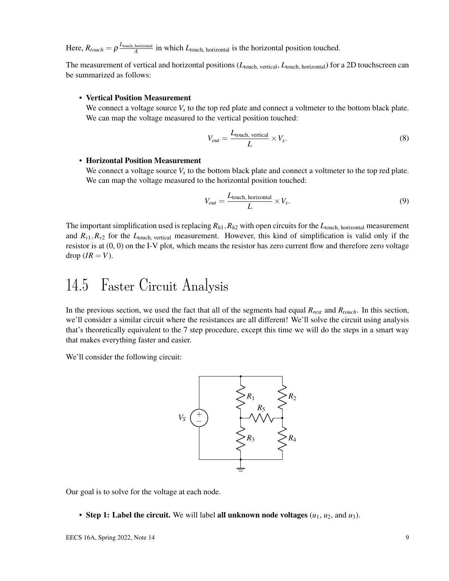$\text{Here, } R_{touch} = \rho \frac{L_{\text{touch, horizontal}}}{A}$  $\frac{A}{A}$  in which  $L_{\text{touch, horizontal}}$  is the horizontal position touched.

The measurement of vertical and horizontal positions ( $L_{\text{touch. vertical}}$ ,  $L_{\text{touch. horizontal}}$ ) for a 2D touchscreen can be summarized as follows:

#### • Vertical Position Measurement

We connect a voltage source  $V_s$  to the top red plate and connect a voltmeter to the bottom black plate. We can map the voltage measured to the vertical position touched:

$$
V_{out} = \frac{L_{\text{touch, vertical}}}{L} \times V_s. \tag{8}
$$

#### • Horizontal Position Measurement

We connect a voltage source  $V_s$  to the bottom black plate and connect a voltmeter to the top red plate. We can map the voltage measured to the horizontal position touched:

$$
V_{out} = \frac{L_{\text{touch, horizontal}}}{L} \times V_s. \tag{9}
$$

The important simplification used is replacing  $R_{h1}$ ,  $R_{h2}$  with open circuits for the  $L_{\text{touch, horizontal}}$  measurement and  $R_{v1}$ ,  $R_{v2}$  for the  $L_{\text{touch, vertical}}$  measurement. However, this kind of simplification is valid only if the resistor is at (0, 0) on the I-V plot, which means the resistor has zero current flow and therefore zero voltage  $drop (IR = V)$ .

## 14.5 Faster Circuit Analysis

In the previous section, we used the fact that all of the segments had equal *Rrest* and *Rtouch*. In this section, we'll consider a similar circuit where the resistances are all different! We'll solve the circuit using analysis that's theoretically equivalent to the 7 step procedure, except this time we will do the steps in a smart way that makes everything faster and easier.

We'll consider the following circuit:



Our goal is to solve for the voltage at each node.

• Step 1: Label the circuit. We will label all unknown node voltages  $(u_1, u_2,$  and  $u_3)$ .